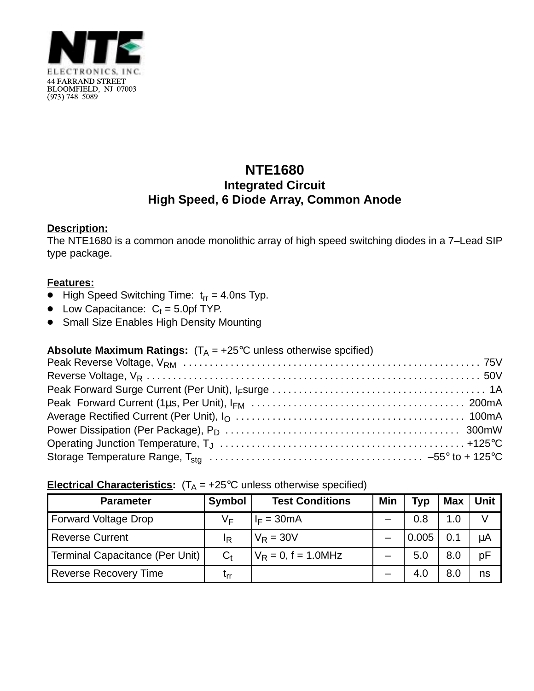

# **NTE1680 Integrated Circuit High Speed, 6 Diode Array, Common Anode**

#### **Description:**

The NTE1680 is a common anode monolithic array of high speed switching diodes in a 7–Lead SIP type package.

#### **Features:**

- $\bullet$  High Speed Switching Time:  $t_{rr} = 4.0$ ns Typ.
- Low Capacitance:  $C_t = 5.0$ pf TYP.
- **Small Size Enables High Density Mounting**

## **Absolute Maximum Ratings:**  $(T_A = +25^{\circ}C$  unless otherwise spcified)

### **Electrical Characteristics:**  $(T_A = +25^\circ C$  unless otherwise specified)

| <b>Parameter</b>                | <b>Symbol</b> | <b>Test Conditions</b> | Min | <b>Typ</b> | <b>Max</b> | Unit |
|---------------------------------|---------------|------------------------|-----|------------|------------|------|
| <b>Forward Voltage Drop</b>     | V⊧            | $I_F = 30mA$           |     | 0.8        | 1.0        |      |
| <b>Reverse Current</b>          | IR            | $V_R = 30V$            |     | 0.005      | 0.1        | μA   |
| Terminal Capacitance (Per Unit) | $C_{t}$       | $V_R = 0$ , f = 1.0MHz |     | 5.0        | 8.0        | pF   |
| <b>Reverse Recovery Time</b>    | ւrr           |                        |     | 4.0        | 8.0        | ns   |